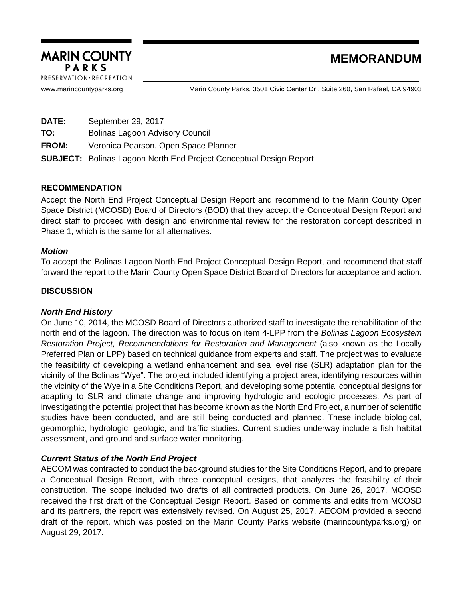

www.marincountyparks.org Marin County Parks, 3501 Civic Center Dr., Suite 260, San Rafael, CA 94903

**DATE:** September 29, 2017

**TO:** Bolinas Lagoon Advisory Council

**FROM:** Veronica Pearson, Open Space Planner

**SUBJECT:** Bolinas Lagoon North End Project Conceptual Design Report

## RECOMMENDATION

Accept the North End Project Conceptual Design Report and recommend to the Marin County Open Space District (MCOSD) Board of Directors (BOD) that they accept the Conceptual Design Report and direct staff to proceed with design and environmental review for the restoration concept described in Phase 1, which is the same for all alternatives.

### *Motion*

To accept the Bolinas Lagoon North End Project Conceptual Design Report, and recommend that staff forward the report to the Marin County Open Space District Board of Directors for acceptance and action.

## **DISCUSSION**

## *North End History*

On June 10, 2014, the MCOSD Board of Directors authorized staff to investigate the rehabilitation of the north end of the lagoon. The direction was to focus on item 4-LPP from the *Bolinas Lagoon Ecosystem Restoration Project, Recommendations for Restoration and Management* (also known as the Locally Preferred Plan or LPP) based on technical guidance from experts and staff. The project was to evaluate the feasibility of developing a wetland enhancement and sea level rise (SLR) adaptation plan for the vicinity of the Bolinas "Wye". The project included identifying a project area, identifying resources within the vicinity of the Wye in a Site Conditions Report, and developing some potential conceptual designs for adapting to SLR and climate change and improving hydrologic and ecologic processes. As part of investigating the potential project that has become known as the North End Project, a number of scientific studies have been conducted, and are still being conducted and planned. These include biological, geomorphic, hydrologic, geologic, and traffic studies. Current studies underway include a fish habitat assessment, and ground and surface water monitoring.

## *Current Status of the North End Project*

AECOM was contracted to conduct the background studies for the Site Conditions Report, and to prepare a Conceptual Design Report, with three conceptual designs, that analyzes the feasibility of their construction. The scope included two drafts of all contracted products. On June 26, 2017, MCOSD received the first draft of the Conceptual Design Report. Based on comments and edits from MCOSD and its partners, the report was extensively revised. On August 25, 2017, AECOM provided a second draft of the report, which was posted on the Marin County Parks website (marincountyparks.org) on August 29, 2017.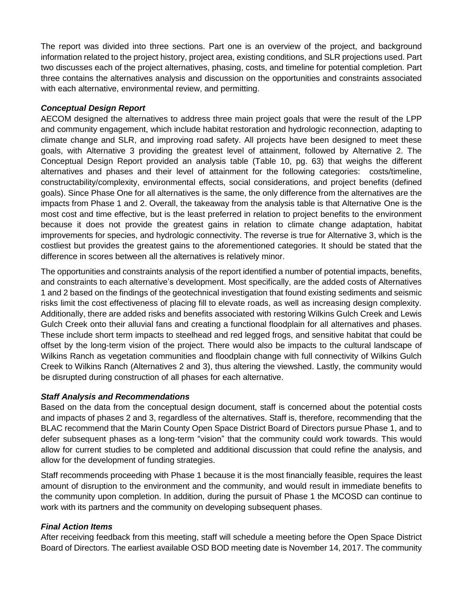The report was divided into three sections. Part one is an overview of the project, and background information related to the project history, project area, existing conditions, and SLR projections used. Part two discusses each of the project alternatives, phasing, costs, and timeline for potential completion. Part three contains the alternatives analysis and discussion on the opportunities and constraints associated with each alternative, environmental review, and permitting.

# *Conceptual Design Report*

AECOM designed the alternatives to address three main project goals that were the result of the LPP and community engagement, which include habitat restoration and hydrologic reconnection, adapting to climate change and SLR, and improving road safety. All projects have been designed to meet these goals, with Alternative 3 providing the greatest level of attainment, followed by Alternative 2. The Conceptual Design Report provided an analysis table (Table 10, pg. 63) that weighs the different alternatives and phases and their level of attainment for the following categories: costs/timeline, constructability/complexity, environmental effects, social considerations, and project benefits (defined goals). Since Phase One for all alternatives is the same, the only difference from the alternatives are the impacts from Phase 1 and 2. Overall, the takeaway from the analysis table is that Alternative One is the most cost and time effective, but is the least preferred in relation to project benefits to the environment because it does not provide the greatest gains in relation to climate change adaptation, habitat improvements for species, and hydrologic connectivity. The reverse is true for Alternative 3, which is the costliest but provides the greatest gains to the aforementioned categories. It should be stated that the difference in scores between all the alternatives is relatively minor.

The opportunities and constraints analysis of the report identified a number of potential impacts, benefits, and constraints to each alternative's development. Most specifically, are the added costs of Alternatives 1 and 2 based on the findings of the geotechnical investigation that found existing sediments and seismic risks limit the cost effectiveness of placing fill to elevate roads, as well as increasing design complexity. Additionally, there are added risks and benefits associated with restoring Wilkins Gulch Creek and Lewis Gulch Creek onto their alluvial fans and creating a functional floodplain for all alternatives and phases. These include short term impacts to steelhead and red legged frogs, and sensitive habitat that could be offset by the long-term vision of the project. There would also be impacts to the cultural landscape of Wilkins Ranch as vegetation communities and floodplain change with full connectivity of Wilkins Gulch Creek to Wilkins Ranch (Alternatives 2 and 3), thus altering the viewshed. Lastly, the community would be disrupted during construction of all phases for each alternative.

## *Staff Analysis and Recommendations*

Based on the data from the conceptual design document, staff is concerned about the potential costs and impacts of phases 2 and 3, regardless of the alternatives. Staff is, therefore, recommending that the BLAC recommend that the Marin County Open Space District Board of Directors pursue Phase 1, and to defer subsequent phases as a long-term "vision" that the community could work towards. This would allow for current studies to be completed and additional discussion that could refine the analysis, and allow for the development of funding strategies.

Staff recommends proceeding with Phase 1 because it is the most financially feasible, requires the least amount of disruption to the environment and the community, and would result in immediate benefits to the community upon completion. In addition, during the pursuit of Phase 1 the MCOSD can continue to work with its partners and the community on developing subsequent phases.

# *Final Action Items*

After receiving feedback from this meeting, staff will schedule a meeting before the Open Space District Board of Directors. The earliest available OSD BOD meeting date is November 14, 2017. The community